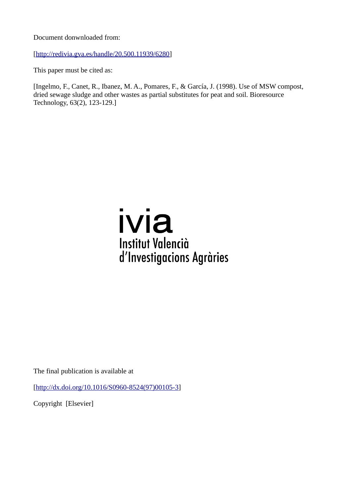Document donwnloaded from:

[[http://redivia.gva.es/handle/20.500.11939/6280\]](http://redivia.gva.es/handle/20.500.11939/6280)

This paper must be cited as:

[Ingelmo, F., Canet, R., Ibanez, M. A., Pomares, F., & García, J. (1998). Use of MSW compost, dried sewage sludge and other wastes as partial substitutes for peat and soil. Bioresource Technology, 63(2), 123-129.]

# ivia **Institut Valencià** d'Investigacions Agràries

The final publication is available at

[[http://dx.doi.org/10.1016/S0960-8524\(97\)00105-3](http://dx.doi.org/10.1016/S0960-8524(97)00105-3)]

Copyright [Elsevier]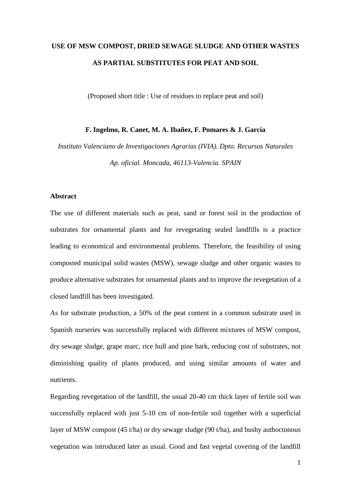# **USE OF MSW COMPOST, DRIED SEWAGE SLUDGE AND OTHER WASTES AS PARTIAL SUBSTITUTES FOR PEAT AND SOIL**

(Proposed short title : Use of residues to replace peat and soil)

### **F. Ingelmo, R. Canet, M. A. Ibañez, F. Pomares & J. García**

*Instituto Valenciano de Investigaciones Agrarias (IVIA). Dpto. Recursos Naturales Ap. oficial. Moncada, 46113-Valencia. SPAIN*

#### **Abstract**

The use of different materials such as peat, sand or forest soil in the production of substrates for ornamental plants and for revegetating sealed landfills is a practice leading to economical and environmental problems. Therefore, the feasibility of using composted municipal solid wastes (MSW), sewage sludge and other organic wastes to produce alternative substrates for ornamental plants and to improve the revegetation of a closed landfill has been investigated.

As for substrate production, a 50% of the peat content in a common substrate used in Spanish nurseries was successfully replaced with different mixtures of MSW compost, dry sewage sludge, grape marc, rice hull and pine bark, reducing cost of substrates, not diminishing quality of plants produced, and using similar amounts of water and nutrients.

Regarding revegetation of the landfill, the usual 20-40 cm thick layer of fertile soil was successfully replaced with just 5-10 cm of non-fertile soil together with a superficial layer of MSW compost (45 t/ha) or dry sewage sludge (90 t/ha), and bushy authoctonous vegetation was introduced later as usual. Good and fast vegetal covering of the landfill

1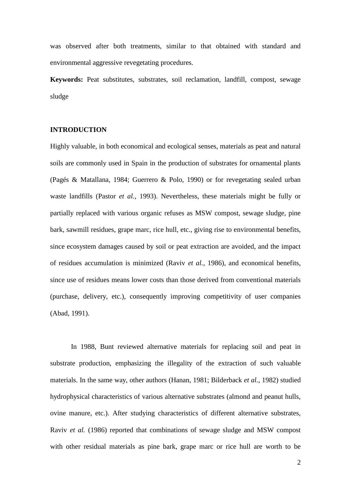was observed after both treatments, similar to that obtained with standard and environmental aggressive revegetating procedures.

**Keywords:** Peat substitutes, substrates, soil reclamation, landfill, compost, sewage sludge

#### **INTRODUCTION**

Highly valuable, in both economical and ecological senses, materials as peat and natural soils are commonly used in Spain in the production of substrates for ornamental plants (Pagés & Matallana, 1984; Guerrero & Polo, 1990) or for revegetating sealed urban waste landfills (Pastor *et al.*, 1993). Nevertheless, these materials might be fully or partially replaced with various organic refuses as MSW compost, sewage sludge, pine bark, sawmill residues, grape marc, rice hull, etc., giving rise to environmental benefits, since ecosystem damages caused by soil or peat extraction are avoided, and the impact of residues accumulation is minimized (Raviv *et al.*, 1986), and economical benefits, since use of residues means lower costs than those derived from conventional materials (purchase, delivery, etc.), consequently improving competitivity of user companies (Abad, 1991).

In 1988, Bunt reviewed alternative materials for replacing soil and peat in substrate production, emphasizing the illegality of the extraction of such valuable materials. In the same way, other authors (Hanan, 1981; Bilderback *et al.*, 1982) studied hydrophysical characteristics of various alternative substrates (almond and peanut hulls, ovine manure, etc.). After studying characteristics of different alternative substrates, Raviv *et al.* (1986) reported that combinations of sewage sludge and MSW compost with other residual materials as pine bark, grape marc or rice hull are worth to be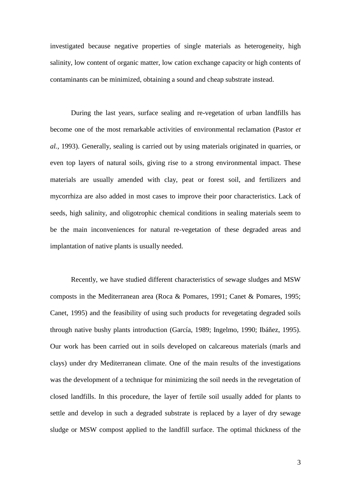investigated because negative properties of single materials as heterogeneity, high salinity, low content of organic matter, low cation exchange capacity or high contents of contaminants can be minimized, obtaining a sound and cheap substrate instead.

During the last years, surface sealing and re-vegetation of urban landfills has become one of the most remarkable activities of environmental reclamation (Pastor *et al.*, 1993). Generally, sealing is carried out by using materials originated in quarries, or even top layers of natural soils, giving rise to a strong environmental impact. These materials are usually amended with clay, peat or forest soil, and fertilizers and mycorrhiza are also added in most cases to improve their poor characteristics. Lack of seeds, high salinity, and oligotrophic chemical conditions in sealing materials seem to be the main inconveniences for natural re-vegetation of these degraded areas and implantation of native plants is usually needed.

Recently, we have studied different characteristics of sewage sludges and MSW composts in the Mediterranean area (Roca & Pomares, 1991; Canet & Pomares, 1995; Canet, 1995) and the feasibility of using such products for revegetating degraded soils through native bushy plants introduction (García, 1989; Ingelmo, 1990; Ibáñez, 1995). Our work has been carried out in soils developed on calcareous materials (marls and clays) under dry Mediterranean climate. One of the main results of the investigations was the development of a technique for minimizing the soil needs in the revegetation of closed landfills. In this procedure, the layer of fertile soil usually added for plants to settle and develop in such a degraded substrate is replaced by a layer of dry sewage sludge or MSW compost applied to the landfill surface. The optimal thickness of the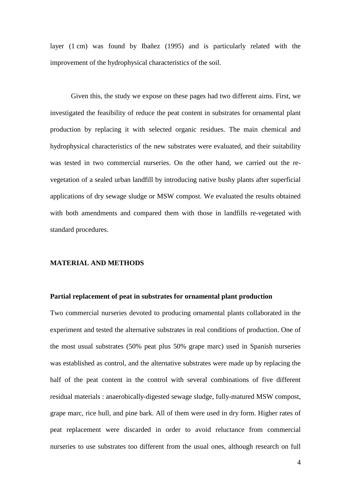layer (1 cm) was found by Ibañez (1995) and is particularly related with the improvement of the hydrophysical characteristics of the soil.

Given this, the study we expose on these pages had two different aims. First, we investigated the feasibility of reduce the peat content in substrates for ornamental plant production by replacing it with selected organic residues. The main chemical and hydrophysical characteristics of the new substrates were evaluated, and their suitability was tested in two commercial nurseries. On the other hand, we carried out the revegetation of a sealed urban landfill by introducing native bushy plants after superficial applications of dry sewage sludge or MSW compost. We evaluated the results obtained with both amendments and compared them with those in landfills re-vegetated with standard procedures.

#### **MATERIAL AND METHODS**

#### **Partial replacement of peat in substrates for ornamental plant production**

Two commercial nurseries devoted to producing ornamental plants collaborated in the experiment and tested the alternative substrates in real conditions of production. One of the most usual substrates (50% peat plus 50% grape marc) used in Spanish nurseries was established as control, and the alternative substrates were made up by replacing the half of the peat content in the control with several combinations of five different residual materials : anaerobically-digested sewage sludge, fully-matured MSW compost, grape marc, rice hull, and pine bark. All of them were used in dry form. Higher rates of peat replacement were discarded in order to avoid reluctance from commercial nurseries to use substrates too different from the usual ones, although research on full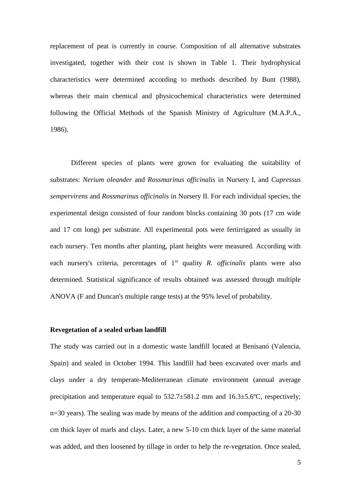replacement of peat is currently in course. Composition of all alternative substrates investigated, together with their cost is shown in Table 1. Their hydrophysical characteristics were determined according to methods described by Bunt (1988), whereas their main chemical and physicochemical characteristics were determined following the Official Methods of the Spanish Ministry of Agriculture (M.A.P.A., 1986).

Different species of plants were grown for evaluating the suitability of substrates: *Nerium oleander* and *Rossmarinus officinalis* in Nursery I, and *Cupressus sempervirens* and *Rossmarinus officinalis* in Nursery II. For each individual species, the experimental design consisted of four random blocks containing 30 pots (17 cm wide and 17 cm long) per substrate. All experimental pots were fertirrigated as usually in each nursery. Ten months after planting, plant heights were measured. According with each nursery's criteria, percentages of 1<sup>st</sup> quality *R. officinalis* plants were also determined. Statistical significance of results obtained was assessed through multiple ANOVA (F and Duncan's multiple range tests) at the 95% level of probability.

#### **Revegetation of a sealed urban landfill**

The study was carried out in a domestic waste landfill located at Benisanó (Valencia, Spain) and sealed in October 1994. This landfill had been excavated over marls and clays under a dry temperate-Mediterranean climate environment (annual average precipitation and temperature equal to 532.7±581.2 mm and 16.3±5.6ºC, respectively; n=30 years). The sealing was made by means of the addition and compacting of a 20-30 cm thick layer of marls and clays. Later, a new 5-10 cm thick layer of the same material was added, and then loosened by tillage in order to help the re-vegetation. Once sealed,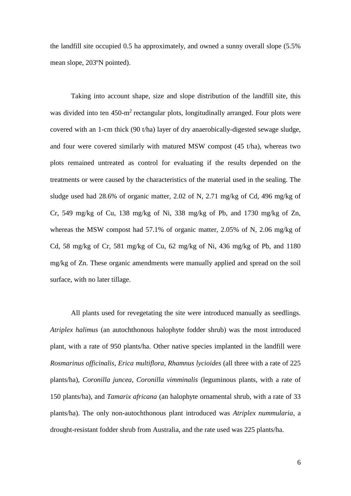the landfill site occupied 0.5 ha approximately, and owned a sunny overall slope (5.5% mean slope, 203ºN pointed).

Taking into account shape, size and slope distribution of the landfill site, this was divided into ten  $450 \text{-} m^2$  rectangular plots, longitudinally arranged. Four plots were covered with an 1-cm thick (90 t/ha) layer of dry anaerobically-digested sewage sludge, and four were covered similarly with matured MSW compost (45 t/ha), whereas two plots remained untreated as control for evaluating if the results depended on the treatments or were caused by the characteristics of the material used in the sealing. The sludge used had 28.6% of organic matter, 2.02 of N, 2.71 mg/kg of Cd, 496 mg/kg of Cr, 549 mg/kg of Cu, 138 mg/kg of Ni, 338 mg/kg of Pb, and 1730 mg/kg of Zn, whereas the MSW compost had 57.1% of organic matter, 2.05% of N, 2.06 mg/kg of Cd, 58 mg/kg of Cr, 581 mg/kg of Cu, 62 mg/kg of Ni, 436 mg/kg of Pb, and 1180 mg/kg of Zn. These organic amendments were manually applied and spread on the soil surface, with no later tillage.

All plants used for revegetating the site were introduced manually as seedlings. *Atriplex halimus* (an autochthonous halophyte fodder shrub) was the most introduced plant, with a rate of 950 plants/ha. Other native species implanted in the landfill were *Rosmarinus officinalis*, *Erica multiflora*, *Rhamnus lycioides* (all three with a rate of 225 plants/ha), *Coronilla juncea*, *Coronilla vimminalis* (leguminous plants, with a rate of 150 plants/ha), and *Tamarix africana* (an halophyte ornamental shrub, with a rate of 33 plants/ha). The only non-autochthonous plant introduced was *Atriplex nummularia*, a drought-resistant fodder shrub from Australia, and the rate used was 225 plants/ha.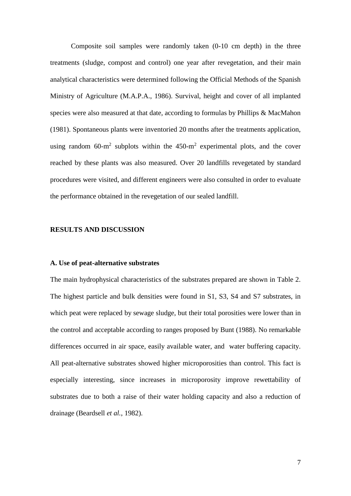Composite soil samples were randomly taken (0-10 cm depth) in the three treatments (sludge, compost and control) one year after revegetation, and their main analytical characteristics were determined following the Official Methods of the Spanish Ministry of Agriculture (M.A.P.A., 1986). Survival, height and cover of all implanted species were also measured at that date, according to formulas by Phillips & MacMahon (1981). Spontaneous plants were inventoried 20 months after the treatments application, using random 60-m<sup>2</sup> subplots within the  $450 \text{-} m^2$  experimental plots, and the cover reached by these plants was also measured. Over 20 landfills revegetated by standard procedures were visited, and different engineers were also consulted in order to evaluate the performance obtained in the revegetation of our sealed landfill.

## **RESULTS AND DISCUSSION**

#### **A. Use of peat-alternative substrates**

The main hydrophysical characteristics of the substrates prepared are shown in Table 2. The highest particle and bulk densities were found in S1, S3, S4 and S7 substrates, in which peat were replaced by sewage sludge, but their total porosities were lower than in the control and acceptable according to ranges proposed by Bunt (1988). No remarkable differences occurred in air space, easily available water, and water buffering capacity. All peat-alternative substrates showed higher microporosities than control. This fact is especially interesting, since increases in microporosity improve rewettability of substrates due to both a raise of their water holding capacity and also a reduction of drainage (Beardsell *et al.*, 1982).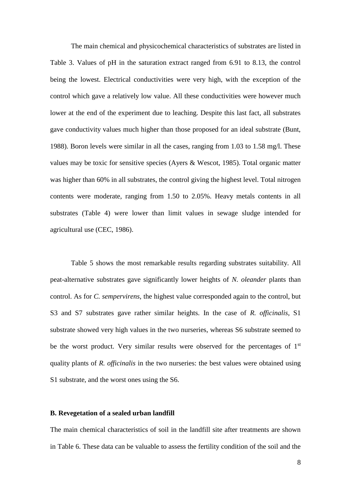The main chemical and physicochemical characteristics of substrates are listed in Table 3. Values of pH in the saturation extract ranged from 6.91 to 8.13, the control being the lowest. Electrical conductivities were very high, with the exception of the control which gave a relatively low value. All these conductivities were however much lower at the end of the experiment due to leaching. Despite this last fact, all substrates gave conductivity values much higher than those proposed for an ideal substrate (Bunt, 1988). Boron levels were similar in all the cases, ranging from 1.03 to 1.58 mg/l. These values may be toxic for sensitive species (Ayers & Wescot, 1985). Total organic matter was higher than 60% in all substrates, the control giving the highest level. Total nitrogen contents were moderate, ranging from 1.50 to 2.05%. Heavy metals contents in all substrates (Table 4) were lower than limit values in sewage sludge intended for agricultural use (CEC, 1986).

Table 5 shows the most remarkable results regarding substrates suitability. All peat-alternative substrates gave significantly lower heights of *N. oleander* plants than control. As for *C. sempervirens*, the highest value corresponded again to the control, but S3 and S7 substrates gave rather similar heights. In the case of *R. officinalis*, S1 substrate showed very high values in the two nurseries, whereas S6 substrate seemed to be the worst product. Very similar results were observed for the percentages of  $1<sup>st</sup>$ quality plants of *R. officinalis* in the two nurseries: the best values were obtained using S1 substrate, and the worst ones using the S6.

#### **B. Revegetation of a sealed urban landfill**

The main chemical characteristics of soil in the landfill site after treatments are shown in Table 6. These data can be valuable to assess the fertility condition of the soil and the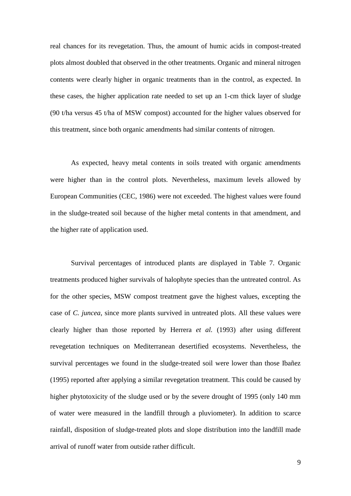real chances for its revegetation. Thus, the amount of humic acids in compost-treated plots almost doubled that observed in the other treatments. Organic and mineral nitrogen contents were clearly higher in organic treatments than in the control, as expected. In these cases, the higher application rate needed to set up an 1-cm thick layer of sludge (90 t/ha versus 45 t/ha of MSW compost) accounted for the higher values observed for this treatment, since both organic amendments had similar contents of nitrogen.

As expected, heavy metal contents in soils treated with organic amendments were higher than in the control plots. Nevertheless, maximum levels allowed by European Communities (CEC, 1986) were not exceeded. The highest values were found in the sludge-treated soil because of the higher metal contents in that amendment, and the higher rate of application used.

Survival percentages of introduced plants are displayed in Table 7. Organic treatments produced higher survivals of halophyte species than the untreated control. As for the other species, MSW compost treatment gave the highest values, excepting the case of *C. juncea*, since more plants survived in untreated plots. All these values were clearly higher than those reported by Herrera *et al.* (1993) after using different revegetation techniques on Mediterranean desertified ecosystems. Nevertheless, the survival percentages we found in the sludge-treated soil were lower than those Ibañez (1995) reported after applying a similar revegetation treatment. This could be caused by higher phytotoxicity of the sludge used or by the severe drought of 1995 (only 140 mm of water were measured in the landfill through a pluviometer). In addition to scarce rainfall, disposition of sludge-treated plots and slope distribution into the landfill made arrival of runoff water from outside rather difficult.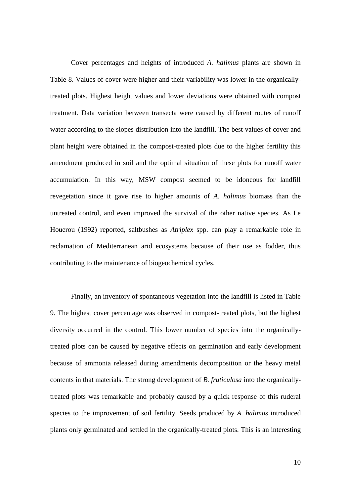Cover percentages and heights of introduced *A. halimus* plants are shown in Table 8. Values of cover were higher and their variability was lower in the organicallytreated plots. Highest height values and lower deviations were obtained with compost treatment. Data variation between transecta were caused by different routes of runoff water according to the slopes distribution into the landfill. The best values of cover and plant height were obtained in the compost-treated plots due to the higher fertility this amendment produced in soil and the optimal situation of these plots for runoff water accumulation. In this way, MSW compost seemed to be idoneous for landfill revegetation since it gave rise to higher amounts of *A. halimus* biomass than the untreated control, and even improved the survival of the other native species. As Le Houerou (1992) reported, saltbushes as *Atriplex* spp. can play a remarkable role in reclamation of Mediterranean arid ecosystems because of their use as fodder, thus contributing to the maintenance of biogeochemical cycles.

Finally, an inventory of spontaneous vegetation into the landfill is listed in Table 9. The highest cover percentage was observed in compost-treated plots, but the highest diversity occurred in the control. This lower number of species into the organicallytreated plots can be caused by negative effects on germination and early development because of ammonia released during amendments decomposition or the heavy metal contents in that materials. The strong development of *B. fruticulosa* into the organicallytreated plots was remarkable and probably caused by a quick response of this ruderal species to the improvement of soil fertility. Seeds produced by *A. halimus* introduced plants only germinated and settled in the organically-treated plots. This is an interesting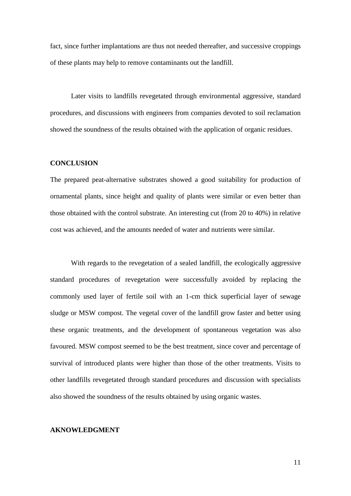fact, since further implantations are thus not needed thereafter, and successive croppings of these plants may help to remove contaminants out the landfill.

Later visits to landfills revegetated through environmental aggressive, standard procedures, and discussions with engineers from companies devoted to soil reclamation showed the soundness of the results obtained with the application of organic residues.

#### **CONCLUSION**

The prepared peat-alternative substrates showed a good suitability for production of ornamental plants, since height and quality of plants were similar or even better than those obtained with the control substrate. An interesting cut (from 20 to 40%) in relative cost was achieved, and the amounts needed of water and nutrients were similar.

With regards to the revegetation of a sealed landfill, the ecologically aggressive standard procedures of revegetation were successfully avoided by replacing the commonly used layer of fertile soil with an 1-cm thick superficial layer of sewage sludge or MSW compost. The vegetal cover of the landfill grow faster and better using these organic treatments, and the development of spontaneous vegetation was also favoured. MSW compost seemed to be the best treatment, since cover and percentage of survival of introduced plants were higher than those of the other treatments. Visits to other landfills revegetated through standard procedures and discussion with specialists also showed the soundness of the results obtained by using organic wastes.

#### **AKNOWLEDGMENT**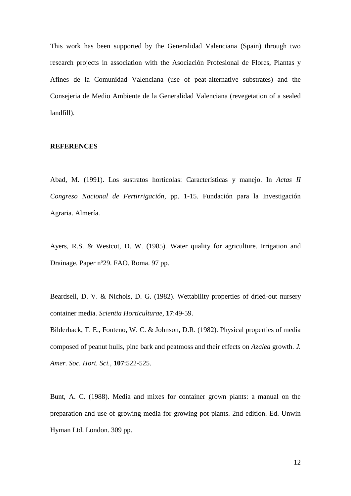This work has been supported by the Generalidad Valenciana (Spain) through two research projects in association with the Asociación Profesional de Flores, Plantas y Afines de la Comunidad Valenciana (use of peat-alternative substrates) and the Consejeria de Medio Ambiente de la Generalidad Valenciana (revegetation of a sealed landfill).

# **REFERENCES**

Abad, M. (1991). Los sustratos hortícolas: Características y manejo. In *Actas II Congreso Nacional de Fertirrigación*, pp. 1-15. Fundación para la Investigación Agraria. Almería.

Ayers, R.S. & Westcot, D. W. (1985). Water quality for agriculture. Irrigation and Drainage. Paper nº29. FAO. Roma. 97 pp.

Beardsell, D. V. & Nichols, D. G. (1982). Wettability properties of dried-out nursery container media. *Scientia Horticulturae*, **17**:49-59.

Bilderback, T. E., Fonteno, W. C. & Johnson, D.R. (1982). Physical properties of media composed of peanut hulls, pine bark and peatmoss and their effects on *Azalea* growth. *J. Amer. Soc. Hort. Sci.*, **107**:522-525.

Bunt, A. C. (1988). Media and mixes for container grown plants: a manual on the preparation and use of growing media for growing pot plants. 2nd edition. Ed. Unwin Hyman Ltd. London. 309 pp.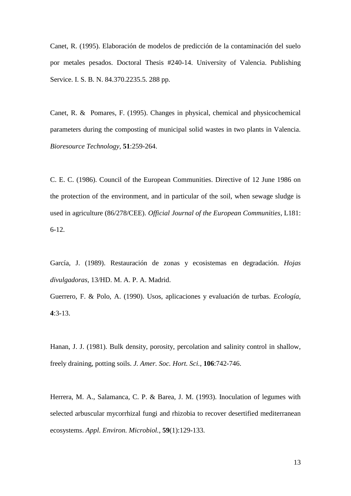Canet, R. (1995). Elaboración de modelos de predicción de la contaminación del suelo por metales pesados. Doctoral Thesis #240-14. University of Valencia. Publishing Service. I. S. B. N. 84.370.2235.5. 288 pp.

Canet, R. & Pomares, F. (1995). Changes in physical, chemical and physicochemical parameters during the composting of municipal solid wastes in two plants in Valencia. *Bioresource Technology*, **51**:259-264.

C. E. C. (1986). Council of the European Communities. Directive of 12 June 1986 on the protection of the environment, and in particular of the soil, when sewage sludge is used in agriculture (86/278/CEE). *Official Journal of the European Communities*, L181: 6-12.

García, J. (1989). Restauración de zonas y ecosistemas en degradación. *Hojas divulgadoras*, 13/HD. M. A. P. A. Madrid.

Guerrero, F. & Polo, A. (1990). Usos, aplicaciones y evaluación de turbas. *Ecología*, **4**:3-13.

Hanan, J. J. (1981). Bulk density, porosity, percolation and salinity control in shallow, freely draining, potting soils. *J. Amer. Soc. Hort. Sci.*, **106**:742-746.

Herrera, M. A., Salamanca, C. P. & Barea, J. M. (1993). Inoculation of legumes with selected arbuscular mycorrhizal fungi and rhizobia to recover desertified mediterranean ecosystems. *Appl. Environ. Microbiol.*, **59**(1):129-133.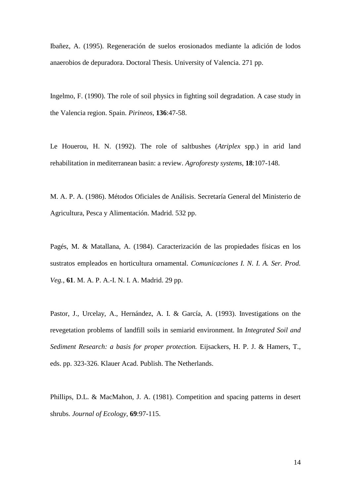Ibañez, A. (1995). Regeneración de suelos erosionados mediante la adición de lodos anaerobios de depuradora. Doctoral Thesis. University of Valencia. 271 pp.

Ingelmo, F. (1990). The role of soil physics in fighting soil degradation. A case study in the Valencia region. Spain. *Pirineos*, **136**:47-58.

Le Houerou, H. N. (1992). The role of saltbushes (*Atriplex* spp.) in arid land rehabilitation in mediterranean basin: a review. *Agroforesty systems*, **18**:107-148.

M. A. P. A. (1986). Métodos Oficiales de Análisis. Secretaría General del Ministerio de Agricultura, Pesca y Alimentación. Madrid. 532 pp.

Pagés, M. & Matallana, A. (1984). Caracterización de las propiedades físicas en los sustratos empleados en horticultura ornamental. *Comunicaciones I. N. I. A. Ser. Prod. Veg.*, **61**. M. A. P. A.-I. N. I. A. Madrid. 29 pp.

Pastor, J., Urcelay, A., Hernández, A. I. & García, A. (1993). Investigations on the revegetation problems of landfill soils in semiarid environment. In *Integrated Soil and Sediment Research: a basis for proper protection.* Eijsackers, H. P. J. & Hamers, T., eds. pp. 323-326. Klauer Acad. Publish. The Netherlands.

Phillips, D.L. & MacMahon, J. A. (1981). Competition and spacing patterns in desert shrubs. *Journal of Ecology*, **69**:97-115.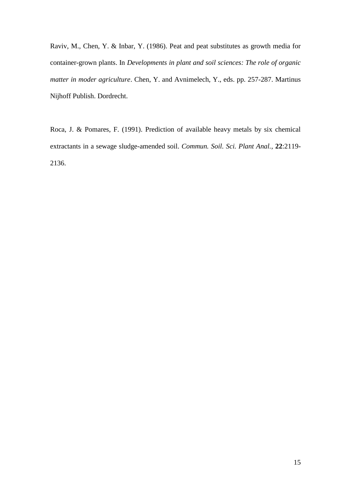Raviv, M., Chen, Y. & Inbar, Y. (1986). Peat and peat substitutes as growth media for container-grown plants. In *Developments in plant and soil sciences: The role of organic matter in moder agriculture*. Chen, Y. and Avnimelech, Y., eds. pp. 257-287. Martinus Nijhoff Publish. Dordrecht.

Roca, J. & Pomares, F. (1991). Prediction of available heavy metals by six chemical extractants in a sewage sludge-amended soil. *Commun. Soil. Sci. Plant Anal.*, **22**:2119- 2136.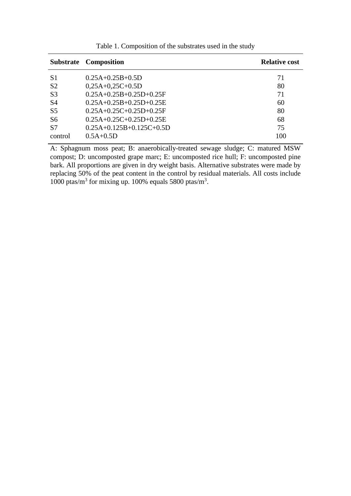|                | <b>Substrate Composition</b> | <b>Relative cost</b> |  |  |  |  |
|----------------|------------------------------|----------------------|--|--|--|--|
| S <sub>1</sub> | $0.25A+0.25B+0.5D$           | 71                   |  |  |  |  |
| S <sub>2</sub> | $0,25A+0,25C+0.5D$           | 80                   |  |  |  |  |
| S <sub>3</sub> | $0.25A+0.25B+0.25D+0.25F$    | 71                   |  |  |  |  |
| S <sub>4</sub> | $0.25A+0.25B+0.25D+0.25E$    | 60                   |  |  |  |  |
| S <sub>5</sub> | $0.25A+0.25C+0.25D+0.25F$    | 80                   |  |  |  |  |
| S <sub>6</sub> | $0.25A+0.25C+0.25D+0.25E$    | 68                   |  |  |  |  |
| S <sub>7</sub> | $0.25A+0.125B+0.125C+0.5D$   | 75                   |  |  |  |  |
| control        | $0.5A+0.5D$                  | 100                  |  |  |  |  |

Table 1. Composition of the substrates used in the study

A: Sphagnum moss peat; B: anaerobically-treated sewage sludge; C: matured MSW compost; D: uncomposted grape marc; E: uncomposted rice hull; F: uncomposted pine bark. All proportions are given in dry weight basis. Alternative substrates were made by replacing 50% of the peat content in the control by residual materials. All costs include 1000 ptas/ $m<sup>3</sup>$  for mixing up. 100% equals 5800 ptas/ $m<sup>3</sup>$ .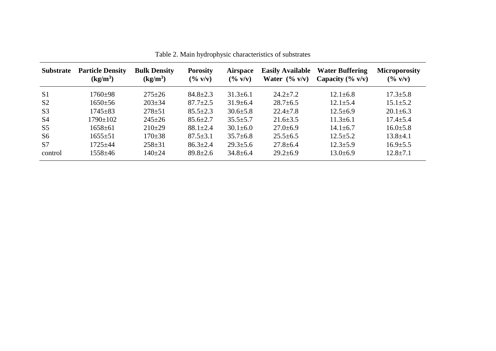| <b>Substrate</b> | <b>Particle Density</b><br>$(kg/m^3)$ | <b>Bulk Density</b><br>(kg/m <sup>3</sup> ) | <b>Porosity</b><br>$(\frac{6}{9} \text{ V})$ | <b>Airspace</b><br>$(\frac{6}{9} \text{ V/v})$ | <b>Easily Available</b><br>Water $(\% v/v)$ | <b>Water Buffering</b><br>Capacity $(\% v/v)$ | <b>Microporosity</b><br>$(\% \text{ v/v})$ |  |
|------------------|---------------------------------------|---------------------------------------------|----------------------------------------------|------------------------------------------------|---------------------------------------------|-----------------------------------------------|--------------------------------------------|--|
| S <sub>1</sub>   | $1760+98$                             | $275 \pm 26$                                | $84.8 \pm 2.3$                               | $31.3 \pm 6.1$                                 | $24.2 + 7.2$                                | $12.1 \pm 6.8$                                | $17.3 \pm 5.8$                             |  |
| S <sub>2</sub>   | $1650 \pm 56$                         | $203 \pm 34$                                | $87.7 \pm 2.5$                               | $31.9 \pm 6.4$                                 | $28.7 \pm 6.5$                              | $12.1 \pm 5.4$                                | $15.1 \pm 5.2$                             |  |
| S <sub>3</sub>   | $1745 \pm 83$                         | $278 + 51$                                  | $85.5 \pm 2.3$                               | $30.6 \pm 5.8$                                 | $22.4 \pm 7.8$                              | $12.5 \pm 6.9$                                | $20.1 \pm 6.3$                             |  |
| <b>S4</b>        | $1790 \pm 102$                        | $245 \pm 26$                                | $85.6 \pm 2.7$                               | $35.5 \pm 5.7$                                 | $21.6 \pm 3.5$                              | $11.3 \pm 6.1$                                | $17.4 \pm 5.4$                             |  |
| S <sub>5</sub>   | $1658 \pm 61$                         | $210\pm 29$                                 | $88.1 \pm 2.4$                               | $30.1 \pm 6.0$                                 | $27.0 \pm 6.9$                              | $14.1 \pm 6.7$                                | $16.0 \pm 5.8$                             |  |
| S <sub>6</sub>   | $1655 \pm 51$                         | $170 \pm 38$                                | $87.5 \pm 3.1$                               | $35.7 \pm 6.8$                                 | $25.5 \pm 6.5$                              | $12.5 \pm 5.2$                                | $13.8 + 4.1$                               |  |
| S7               | 1725±44                               | $258 \pm 31$                                | $86.3 \pm 2.4$                               | $29.3 \pm 5.6$                                 | $27.8 \pm 6.4$                              | $12.3 \pm 5.9$                                | $16.9 \pm 5.5$                             |  |
| control          | 1558±46                               | $140 \pm 24$                                | $89.8 \pm 2.6$                               | $34.8 \pm 6.4$                                 | $29.2 \pm 6.9$                              | $13.0 \pm 6.9$                                | $12.8 \pm 7.1$                             |  |

Table 2. Main hydrophysic characteristics of substrates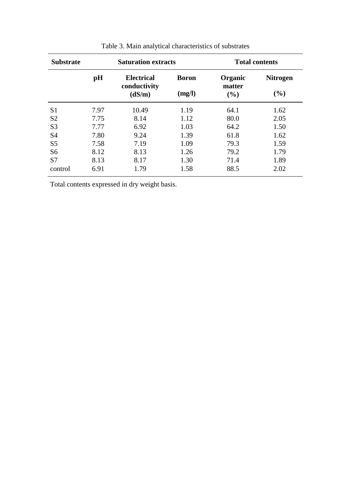| <b>Substrate</b> |      | <b>Saturation extracts</b>                  |                        | <b>Total contents</b>    |                           |  |  |
|------------------|------|---------------------------------------------|------------------------|--------------------------|---------------------------|--|--|
|                  | pH   | <b>Electrical</b><br>conductivity<br>(dS/m) | <b>Boron</b><br>(mg/l) | Organic<br>matter<br>(%) | <b>Nitrogen</b><br>$(\%)$ |  |  |
| S <sub>1</sub>   | 7.97 | 10.49                                       | 1.19                   | 64.1                     | 1.62                      |  |  |
| S <sub>2</sub>   | 7.75 | 8.14                                        | 1.12                   | 80.0                     | 2.05                      |  |  |
| S <sub>3</sub>   | 7.77 | 6.92                                        | 1.03                   | 64.2                     | 1.50                      |  |  |
| <b>S4</b>        | 7.80 | 9.24                                        | 1.39                   | 61.8                     | 1.62                      |  |  |
| S <sub>5</sub>   | 7.58 | 7.19                                        | 1.09                   | 79.3                     | 1.59                      |  |  |
| S <sub>6</sub>   | 8.12 | 8.13                                        | 1.26                   | 79.2                     | 1.79                      |  |  |
| S7               | 8.13 | 8.17                                        | 1.30                   | 71.4                     | 1.89                      |  |  |
| control          | 6.91 | 1.79                                        | 1.58                   | 88.5                     | 2.02                      |  |  |

| Table 3. Main analytical characteristics of substrates |
|--------------------------------------------------------|
|                                                        |

Total contents expressed in dry weight basis.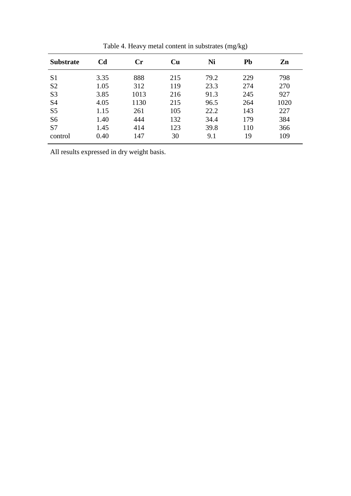| <b>Substrate</b> | C <sub>d</sub> | Cr   | Cu  | Ni   | Pb  | Zn   |
|------------------|----------------|------|-----|------|-----|------|
| S <sub>1</sub>   | 3.35           | 888  | 215 | 79.2 | 229 | 798  |
| S <sub>2</sub>   | 1.05           | 312  | 119 | 23.3 | 274 | 270  |
| S <sub>3</sub>   | 3.85           | 1013 | 216 | 91.3 | 245 | 927  |
| <b>S4</b>        | 4.05           | 1130 | 215 | 96.5 | 264 | 1020 |
| S <sub>5</sub>   | 1.15           | 261  | 105 | 22.2 | 143 | 227  |
| S <sub>6</sub>   | 1.40           | 444  | 132 | 34.4 | 179 | 384  |
| S7               | 1.45           | 414  | 123 | 39.8 | 110 | 366  |
| control          | 0.40           | 147  | 30  | 9.1  | 19  | 109  |

Table 4. Heavy metal content in substrates (mg/kg)

All results expressed in dry weight basis.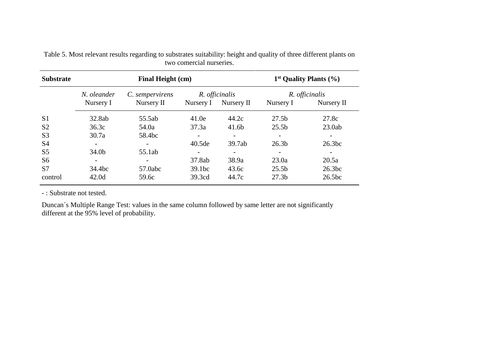| <b>Substrate</b> |                   | Final Height (cm) | $1st$ Quality Plants $(\% )$ |                          |                   |                    |  |
|------------------|-------------------|-------------------|------------------------------|--------------------------|-------------------|--------------------|--|
|                  | N. oleander       | C. sempervirens   |                              | R. officinalis           | R. officinalis    |                    |  |
|                  | Nursery I         | Nursery $\Pi$     | Nursery I                    | Nursery II               | Nursery I         | Nursery II         |  |
| S <sub>1</sub>   | 32.8ab            | 55.5ab            | 41.0e                        | 44.2c                    | 27.5 <sub>b</sub> | 27.8c              |  |
| S <sub>2</sub>   | 36.3c             | 54.0a             | 37.3a                        | 41.6b                    | 25.5 <sub>b</sub> | 23.0ab             |  |
| S <sub>3</sub>   | 30.7a             | 58.4bc            |                              |                          |                   |                    |  |
| S <sub>4</sub>   |                   |                   | 40.5de                       | 39.7ab                   | 26.3 <sub>b</sub> | 26.3bc             |  |
| S <sub>5</sub>   | 34.0 <sub>b</sub> | 55.1ab            |                              | $\overline{\phantom{a}}$ |                   |                    |  |
| S <sub>6</sub>   |                   |                   | 37.8ab                       | 38.9a                    | 23.0a             | 20.5a              |  |
| S7               | 34.4bc            | 57.0abc           | 39.1bc                       | 43.6c                    | 25.5 <sub>b</sub> | 26.3bc             |  |
| control          | 42.0 <sub>d</sub> | 59.6c             | 39.3cd                       | 44.7c                    | 27.3 <sub>b</sub> | 26.5 <sub>bc</sub> |  |

Table 5. Most relevant results regarding to substrates suitability: height and quality of three different plants on two comercial nurseries.

- : Substrate not tested.

Duncan´s Multiple Range Test: values in the same column followed by same letter are not significantly different at the 95% level of probability.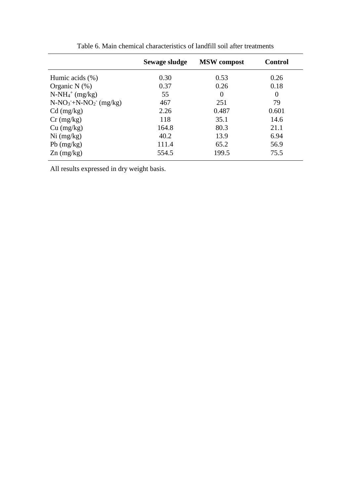|                         | Sewage sludge | <b>MSW</b> compost | <b>Control</b> |
|-------------------------|---------------|--------------------|----------------|
| Humic acids $(\%)$      | 0.30          | 0.53               | 0.26           |
| Organic N $(\%)$        | 0.37          | 0.26               | 0.18           |
| $N-NH4+ (mg/kg)$        | 55            | $\theta$           | $\Omega$       |
| $N-NO_3+N-NO_2$ (mg/kg) | 467           | 251                | 79             |
| $Cd$ (mg/kg)            | 2.26          | 0.487              | 0.601          |
| $Cr$ (mg/kg)            | 118           | 35.1               | 14.6           |
| Cu (mg/kg)              | 164.8         | 80.3               | 21.1           |
| $Ni$ (mg/kg)            | 40.2          | 13.9               | 6.94           |
| $Pb$ (mg/kg)            | 111.4         | 65.2               | 56.9           |
| $Zn$ (mg/kg)            | 554.5         | 199.5              | 75.5           |

Table 6. Main chemical characteristics of landfill soil after treatments

All results expressed in dry weight basis.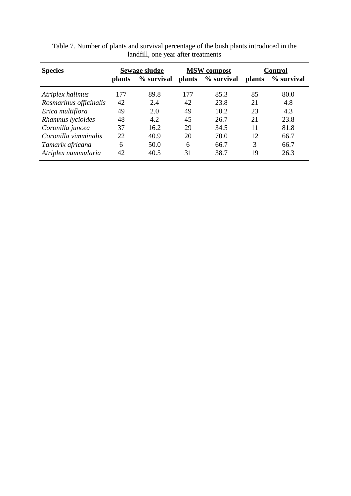| <b>Species</b>         | Sewage sludge |            |               | <b>MSW</b> compost | <b>Control</b> |            |  |
|------------------------|---------------|------------|---------------|--------------------|----------------|------------|--|
|                        | <b>plants</b> | % survival | <b>plants</b> | % survival         | <i>plants</i>  | % survival |  |
| Atriplex halimus       | 177           | 89.8       | 177           | 85.3               | 85             | 80.0       |  |
| Rosmarinus officinalis | 42            | 2.4        | 42            | 23.8               | 21             | 4.8        |  |
| Erica multiflora       | 49            | 2.0        | 49            | 10.2               | 23             | 4.3        |  |
| Rhamnus lycioides      | 48            | 4.2        | 45            | 26.7               | 21             | 23.8       |  |
| Coronilla juncea       | 37            | 16.2       | 29            | 34.5               | 11             | 81.8       |  |
| Coronilla vimminalis   | 22            | 40.9       | 20            | 70.0               | 12             | 66.7       |  |
| Tamarix africana       | 6             | 50.0       | 6             | 66.7               | 3              | 66.7       |  |
| Atriplex nummularia    | 42            | 40.5       | 31            | 38.7               | 19             | 26.3       |  |

Table 7. Number of plants and survival percentage of the bush plants introduced in the landfill, one year after treatments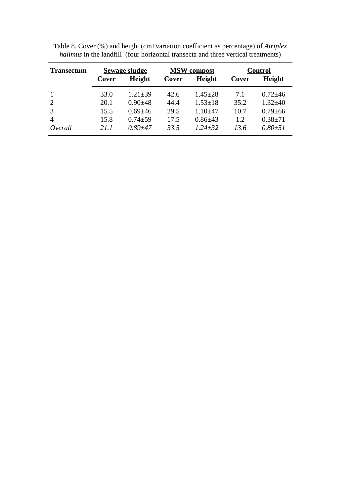| <b>Transectum</b> | <b>Sewage sludge</b> |               |       | <b>MSW</b> compost | <b>Control</b> |               |  |  |
|-------------------|----------------------|---------------|-------|--------------------|----------------|---------------|--|--|
|                   | Cover                | Height        | Cover | Height             | Cover          | Height        |  |  |
|                   | 33.0                 | $1.21 \pm 39$ | 42.6  | $1.45 \pm 28$      | 7.1            | $0.72 + 46$   |  |  |
|                   | 20.1                 | $0.90 \pm 48$ | 44.4  | $1.53 \pm 18$      | 35.2           | $1.32 + 40$   |  |  |
| 3                 | 15.5                 | $0.69 + 46$   | 29.5  | $1.10 + 47$        | 10.7           | $0.79 \pm 66$ |  |  |
| 4                 | 15.8                 | $0.74 \pm 59$ | 17.5  | $0.86{\pm}43$      | 1.2            | $0.38 + 71$   |  |  |
| Overall           | 211                  | $0.89 + 47$   | 33.5  | $1.24 + 32$        | 13.6           | $0.80{\pm}51$ |  |  |

Table 8. Cover (%) and height (cm±variation coefficient as percentage) of *Atriplex halimus* in the landfill (four horizontal transecta and three vertical treatments)